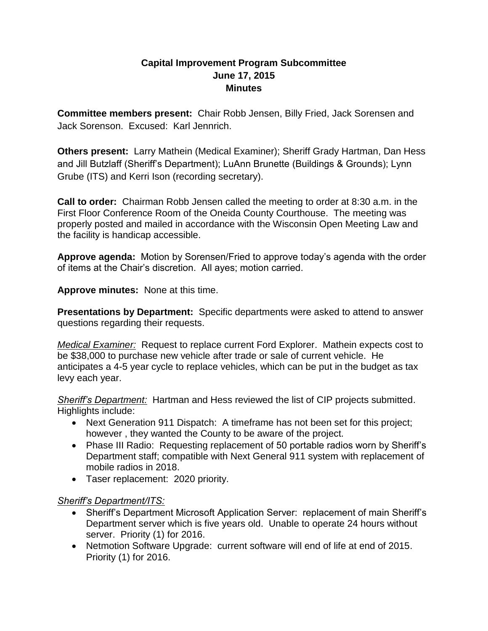## **Capital Improvement Program Subcommittee June 17, 2015 Minutes**

**Committee members present:** Chair Robb Jensen, Billy Fried, Jack Sorensen and Jack Sorenson. Excused: Karl Jennrich.

**Others present:** Larry Mathein (Medical Examiner); Sheriff Grady Hartman, Dan Hess and Jill Butzlaff (Sheriff's Department); LuAnn Brunette (Buildings & Grounds); Lynn Grube (ITS) and Kerri Ison (recording secretary).

**Call to order:** Chairman Robb Jensen called the meeting to order at 8:30 a.m. in the First Floor Conference Room of the Oneida County Courthouse. The meeting was properly posted and mailed in accordance with the Wisconsin Open Meeting Law and the facility is handicap accessible.

**Approve agenda:** Motion by Sorensen/Fried to approve today's agenda with the order of items at the Chair's discretion. All ayes; motion carried.

**Approve minutes:** None at this time.

**Presentations by Department:** Specific departments were asked to attend to answer questions regarding their requests.

*Medical Examiner:* Request to replace current Ford Explorer. Mathein expects cost to be \$38,000 to purchase new vehicle after trade or sale of current vehicle. He anticipates a 4-5 year cycle to replace vehicles, which can be put in the budget as tax levy each year.

*Sheriff's Department:* Hartman and Hess reviewed the list of CIP projects submitted. Highlights include:

- Next Generation 911 Dispatch: A timeframe has not been set for this project; however , they wanted the County to be aware of the project.
- Phase III Radio: Requesting replacement of 50 portable radios worn by Sheriff's Department staff; compatible with Next General 911 system with replacement of mobile radios in 2018.
- Taser replacement: 2020 priority.

## *Sheriff's Department/ITS:*

- Sheriff's Department Microsoft Application Server: replacement of main Sheriff's Department server which is five years old. Unable to operate 24 hours without server. Priority (1) for 2016.
- Netmotion Software Upgrade: current software will end of life at end of 2015. Priority (1) for 2016.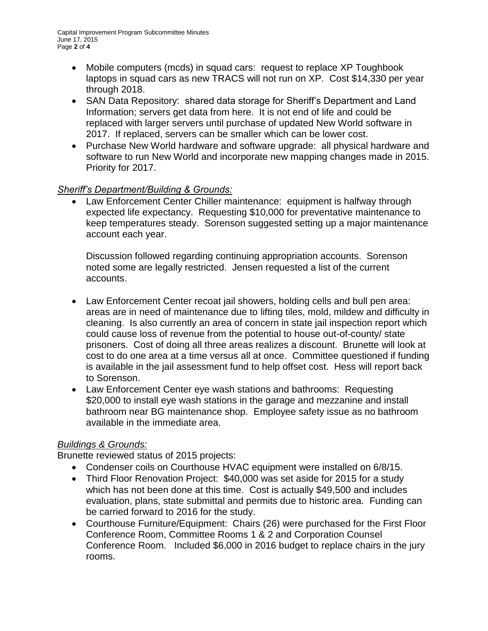- Mobile computers (mcds) in squad cars: request to replace XP Toughbook laptops in squad cars as new TRACS will not run on XP. Cost \$14,330 per year through 2018.
- SAN Data Repository: shared data storage for Sheriff's Department and Land Information; servers get data from here. It is not end of life and could be replaced with larger servers until purchase of updated New World software in 2017. If replaced, servers can be smaller which can be lower cost.
- Purchase New World hardware and software upgrade: all physical hardware and software to run New World and incorporate new mapping changes made in 2015. Priority for 2017.

## *Sheriff's Department/Building & Grounds:*

• Law Enforcement Center Chiller maintenance: equipment is halfway through expected life expectancy. Requesting \$10,000 for preventative maintenance to keep temperatures steady. Sorenson suggested setting up a major maintenance account each year.

Discussion followed regarding continuing appropriation accounts. Sorenson noted some are legally restricted. Jensen requested a list of the current accounts.

- Law Enforcement Center recoat jail showers, holding cells and bull pen area: areas are in need of maintenance due to lifting tiles, mold, mildew and difficulty in cleaning. Is also currently an area of concern in state jail inspection report which could cause loss of revenue from the potential to house out-of-county/ state prisoners. Cost of doing all three areas realizes a discount. Brunette will look at cost to do one area at a time versus all at once. Committee questioned if funding is available in the jail assessment fund to help offset cost. Hess will report back to Sorenson.
- Law Enforcement Center eye wash stations and bathrooms: Requesting \$20,000 to install eye wash stations in the garage and mezzanine and install bathroom near BG maintenance shop. Employee safety issue as no bathroom available in the immediate area.

## *Buildings & Grounds:*

Brunette reviewed status of 2015 projects:

- Condenser coils on Courthouse HVAC equipment were installed on 6/8/15.
- Third Floor Renovation Project: \$40,000 was set aside for 2015 for a study which has not been done at this time. Cost is actually \$49,500 and includes evaluation, plans, state submittal and permits due to historic area. Funding can be carried forward to 2016 for the study.
- Courthouse Furniture/Equipment: Chairs (26) were purchased for the First Floor Conference Room, Committee Rooms 1 & 2 and Corporation Counsel Conference Room. Included \$6,000 in 2016 budget to replace chairs in the jury rooms.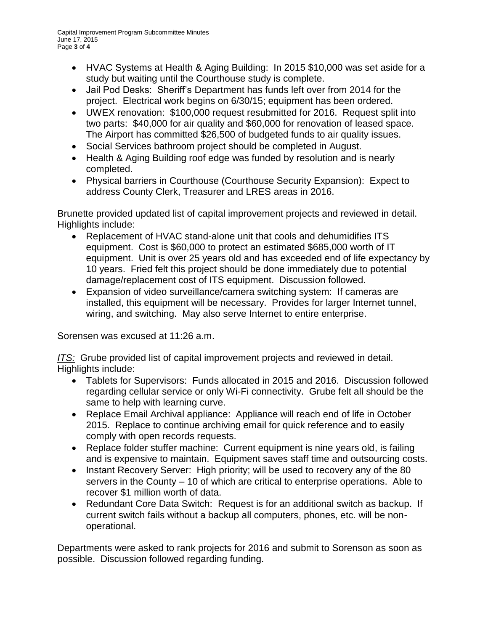- HVAC Systems at Health & Aging Building: In 2015 \$10,000 was set aside for a study but waiting until the Courthouse study is complete.
- Jail Pod Desks: Sheriff's Department has funds left over from 2014 for the project. Electrical work begins on 6/30/15; equipment has been ordered.
- UWEX renovation: \$100,000 request resubmitted for 2016. Request split into two parts: \$40,000 for air quality and \$60,000 for renovation of leased space. The Airport has committed \$26,500 of budgeted funds to air quality issues.
- Social Services bathroom project should be completed in August.
- Health & Aging Building roof edge was funded by resolution and is nearly completed.
- Physical barriers in Courthouse (Courthouse Security Expansion): Expect to address County Clerk, Treasurer and LRES areas in 2016.

Brunette provided updated list of capital improvement projects and reviewed in detail. Highlights include:

- Replacement of HVAC stand-alone unit that cools and dehumidifies ITS equipment. Cost is \$60,000 to protect an estimated \$685,000 worth of IT equipment. Unit is over 25 years old and has exceeded end of life expectancy by 10 years. Fried felt this project should be done immediately due to potential damage/replacement cost of ITS equipment. Discussion followed.
- Expansion of video surveillance/camera switching system: If cameras are installed, this equipment will be necessary. Provides for larger Internet tunnel, wiring, and switching. May also serve Internet to entire enterprise.

Sorensen was excused at 11:26 a.m.

*ITS:* Grube provided list of capital improvement projects and reviewed in detail. Highlights include:

- Tablets for Supervisors: Funds allocated in 2015 and 2016. Discussion followed regarding cellular service or only Wi-Fi connectivity. Grube felt all should be the same to help with learning curve.
- Replace Email Archival appliance: Appliance will reach end of life in October 2015. Replace to continue archiving email for quick reference and to easily comply with open records requests.
- Replace folder stuffer machine: Current equipment is nine years old, is failing and is expensive to maintain. Equipment saves staff time and outsourcing costs.
- Instant Recovery Server: High priority; will be used to recovery any of the 80 servers in the County – 10 of which are critical to enterprise operations. Able to recover \$1 million worth of data.
- Redundant Core Data Switch: Request is for an additional switch as backup. If current switch fails without a backup all computers, phones, etc. will be nonoperational.

Departments were asked to rank projects for 2016 and submit to Sorenson as soon as possible. Discussion followed regarding funding.